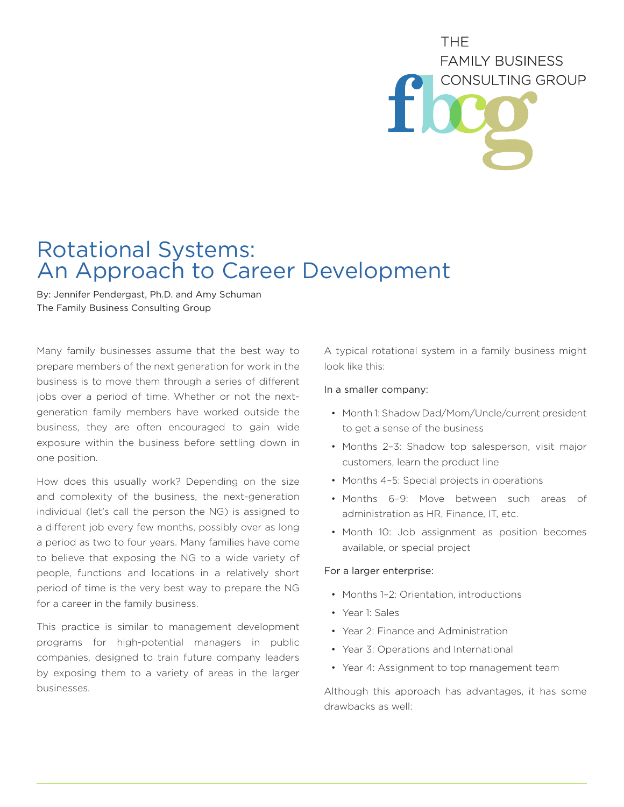## **THF FAMILY BUSINESS** CONSULTING GROUP

## Rotational Systems: An Approach to Career Development

By: Jennifer Pendergast, Ph.D. and Amy Schuman The Family Business Consulting Group

Many family businesses assume that the best way to prepare members of the next generation for work in the business is to move them through a series of different jobs over a period of time. Whether or not the nextgeneration family members have worked outside the business, they are often encouraged to gain wide exposure within the business before settling down in one position.

How does this usually work? Depending on the size and complexity of the business, the next-generation individual (let's call the person the NG) is assigned to a different job every few months, possibly over as long a period as two to four years. Many families have come to believe that exposing the NG to a wide variety of people, functions and locations in a relatively short period of time is the very best way to prepare the NG for a career in the family business.

This practice is similar to management development programs for high-potential managers in public companies, designed to train future company leaders by exposing them to a variety of areas in the larger businesses.

A typical rotational system in a family business might look like this:

## In a smaller company:

- Month 1: Shadow Dad/Mom/Uncle/current president to get a sense of the business
- Months 2–3: Shadow top salesperson, visit major customers, learn the product line
- Months 4–5: Special projects in operations
- Months 6–9: Move between such areas of administration as HR, Finance, IT, etc.
- Month 10: Job assignment as position becomes available, or special project

## For a larger enterprise:

- Months 1–2: Orientation, introductions
- Year 1: Sales
- Year 2: Finance and Administration
- Year 3: Operations and International
- Year 4: Assignment to top management team

Although this approach has advantages, it has some drawbacks as well: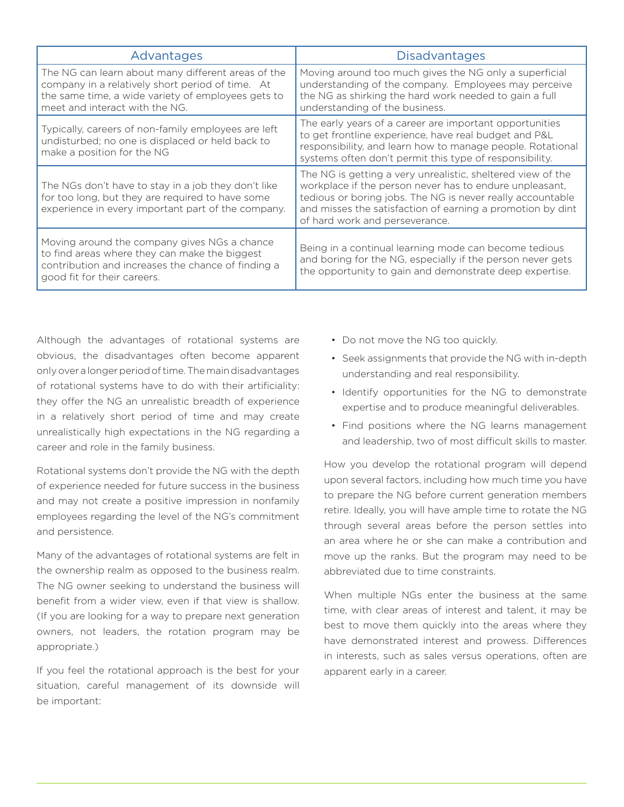| Advantages                                                                                                                                                                                     | <b>Disadvantages</b>                                                                                                                                                                                                                                                                 |
|------------------------------------------------------------------------------------------------------------------------------------------------------------------------------------------------|--------------------------------------------------------------------------------------------------------------------------------------------------------------------------------------------------------------------------------------------------------------------------------------|
| The NG can learn about many different areas of the<br>company in a relatively short period of time. At<br>the same time, a wide variety of employees gets to<br>meet and interact with the NG. | Moving around too much gives the NG only a superficial<br>understanding of the company. Employees may perceive<br>the NG as shirking the hard work needed to gain a full<br>understanding of the business.                                                                           |
| Typically, careers of non-family employees are left<br>undisturbed; no one is displaced or held back to<br>make a position for the NG                                                          | The early years of a career are important opportunities<br>to get frontline experience, have real budget and P&L<br>responsibility, and learn how to manage people. Rotational<br>systems often don't permit this type of responsibility.                                            |
| The NGs don't have to stay in a job they don't like<br>for too long, but they are required to have some<br>experience in every important part of the company.                                  | The NG is getting a very unrealistic, sheltered view of the<br>workplace if the person never has to endure unpleasant,<br>tedious or boring jobs. The NG is never really accountable<br>and misses the satisfaction of earning a promotion by dint<br>of hard work and perseverance. |
| Moving around the company gives NGs a chance<br>to find areas where they can make the biggest<br>contribution and increases the chance of finding a<br>good fit for their careers.             | Being in a continual learning mode can become tedious<br>and boring for the NG, especially if the person never gets<br>the opportunity to gain and demonstrate deep expertise.                                                                                                       |

Although the advantages of rotational systems are obvious, the disadvantages often become apparent only over a longer period of time. The main disadvantages of rotational systems have to do with their artificiality: they offer the NG an unrealistic breadth of experience in a relatively short period of time and may create unrealistically high expectations in the NG regarding a career and role in the family business.

Rotational systems don't provide the NG with the depth of experience needed for future success in the business and may not create a positive impression in nonfamily employees regarding the level of the NG's commitment and persistence.

Many of the advantages of rotational systems are felt in the ownership realm as opposed to the business realm. The NG owner seeking to understand the business will benefit from a wider view, even if that view is shallow. (If you are looking for a way to prepare next generation owners, not leaders, the rotation program may be appropriate.)

If you feel the rotational approach is the best for your situation, careful management of its downside will be important:

- Do not move the NG too quickly.
- Seek assignments that provide the NG with in-depth understanding and real responsibility.
- Identify opportunities for the NG to demonstrate expertise and to produce meaningful deliverables.
- Find positions where the NG learns management and leadership, two of most difficult skills to master.

How you develop the rotational program will depend upon several factors, including how much time you have to prepare the NG before current generation members retire. Ideally, you will have ample time to rotate the NG through several areas before the person settles into an area where he or she can make a contribution and move up the ranks. But the program may need to be abbreviated due to time constraints.

When multiple NGs enter the business at the same time, with clear areas of interest and talent, it may be best to move them quickly into the areas where they have demonstrated interest and prowess. Differences in interests, such as sales versus operations, often are apparent early in a career.